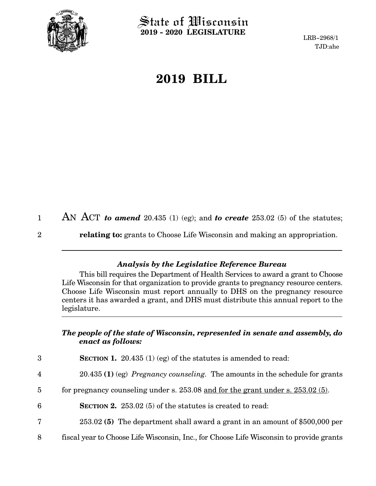

State of Wisconsin **2019 - 2020 LEGISLATURE**

LRB-2968/1 TJD:ahe

# **2019 BILL**

| 1           | AN ACT to amend 20.435 (1) (eg); and to create 253.02 (5) of the statutes;       |
|-------------|----------------------------------------------------------------------------------|
| $2^{\circ}$ | <b>relating to:</b> grants to Choose Life Wisconsin and making an appropriation. |

## *Analysis by the Legislative Reference Bureau*

This bill requires the Department of Health Services to award a grant to Choose Life Wisconsin for that organization to provide grants to pregnancy resource centers. Choose Life Wisconsin must report annually to DHS on the pregnancy resource centers it has awarded a grant, and DHS must distribute this annual report to the legislature.

### *The people of the state of Wisconsin, represented in senate and assembly, do enact as follows:*

| 3              | <b>SECTION 1.</b> 20.435 (1) (eg) of the statutes is amended to read:                   |
|----------------|-----------------------------------------------------------------------------------------|
| $\overline{4}$ | $20.435$ (1) (eg) <i>Pregnancy counseling</i> . The amounts in the schedule for grants  |
| 5              | for pregnancy counseling under s. $253.08$ and for the grant under s. $253.02(5)$ .     |
| 6              | <b>SECTION 2.</b> 253.02 (5) of the statutes is created to read:                        |
| 7              | 253.02 (5) The department shall award a grant in an amount of \$500,000 per             |
| 8              | fiscal year to Choose Life Wisconsin, Inc., for Choose Life Wisconsin to provide grants |